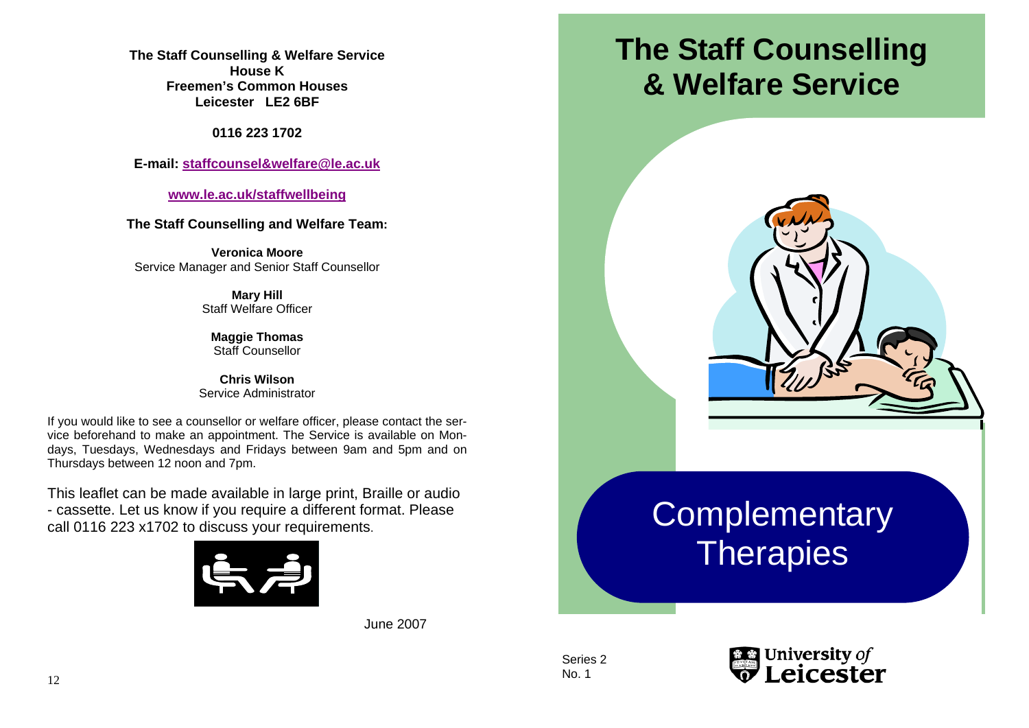**The Staff Counselling & Welfare Service House K Freemen's Common Houses Leicester LE2 6BF** 

**0116 223 1702** 

**E-mail: staffcounsel&welfare@le.ac.uk**

**www.le.ac.uk/staffwellbeing**

**The Staff Counselling and Welfare Team:** 

**Veronica Moore** Service Manager and Senior Staff Counsellor

> **Mary Hill**  Staff Welfare Officer

**Maggie Thomas**  Staff Counsellor

**Chris Wilson** Service Administrator

If you would like to see a counsellor or welfare officer, please contact the service beforehand to make an appointment. The Service is available on Mondays, Tuesdays, Wednesdays and Fridays between 9am and 5pm and on Thursdays between 12 noon and 7pm.

This leaflet can be made available in large print, Braille or audio - cassette. Let us know if you require a different format. Please call 0116 223 x1702 to discuss your requirements.



June 2007

# **The Staff Counselling & Welfare Service**



Series 2 No. 1

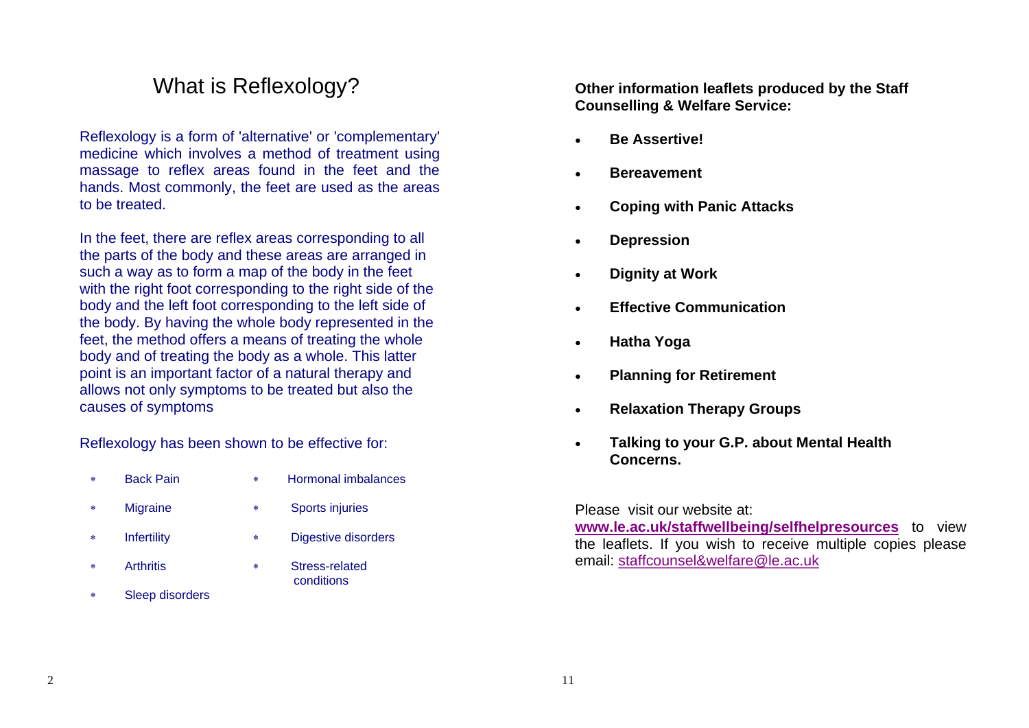## What is Reflexology?

Reflexology is a form of 'alternative' or 'complementary' medicine which involves a method of treatment using massage to reflex areas found in the feet and the hands. Most commonly, the feet are used as the areas to be treated.

In the feet, there are reflex areas corresponding to all the parts of the body and these areas are arranged in such a way as to form a map of the body in the feet with the right foot corresponding to the right side of the body and the left foot corresponding to the left side of the body. By having the whole body represented in the feet, the method offers a means of treating the whole body and of treating the body as a whole. This latter point is an important factor of a natural therapy and allows not only symptoms to be treated but also the causes of symptoms

Reflexology has been shown to be effective for:

- ∗ Back Pain
- ∗ Hormonal imbalances
- <sup>∗</sup>Migraine
- <sup>∗</sup>Sports injuries
- <sup>∗</sup>Infertility
- ∗ Arthritis
- <sup>∗</sup>Digestive disorders
	- ∗ Stress-related **conditions**
- Sleep disorders

**Other information leaflets produced by the Staff Counselling & Welfare Service:** 

- **Be Assertive!**
- **Bereavement**
- **Coping with Panic Attacks**
- **Depression**
- **Dignity at Work**
- **Effective Communication**
- **Hatha Yoga**
- **Planning for Retirement**
- **Relaxation Therapy Groups**
- **Talking to your G.P. about Mental Health Concerns.**

Please visit our website at:

**www.le.ac.uk/staffwellbeing/selfhelpresources** to view the leaflets. If you wish to receive multiple copies please email: staffcounsel&welfare@le.ac.uk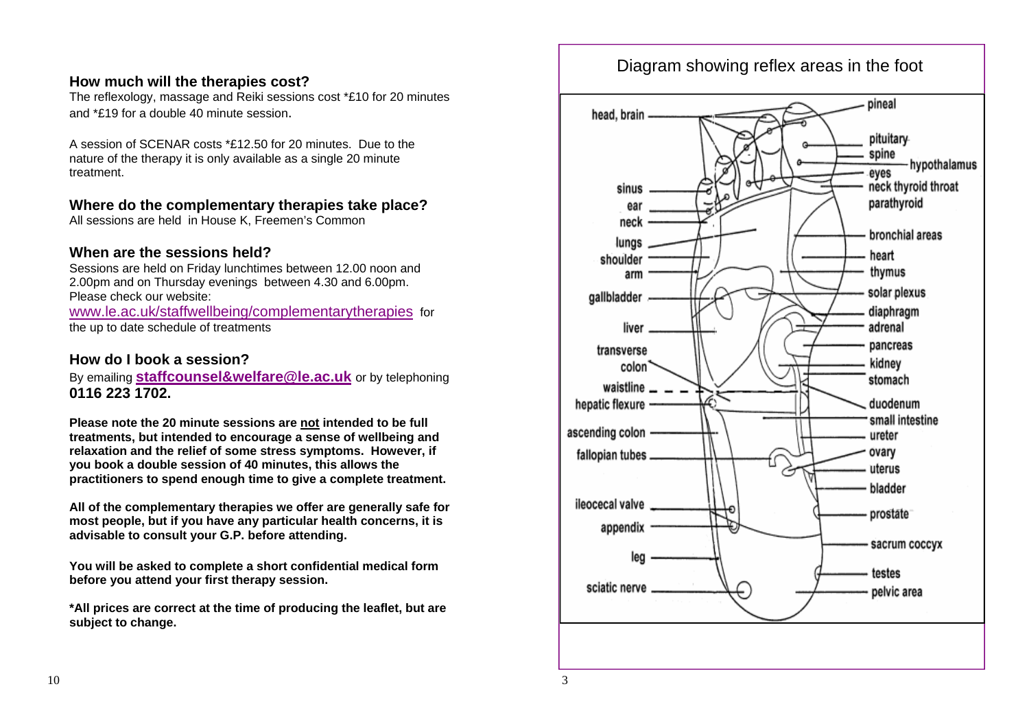#### **How much will the therapies cost?**

The reflexology, massage and Reiki sessions cost \*£10 for 20 minutes and \*£19 for a double 40 minute session.

A session of SCENAR costs \*£12.50 for 20 minutes. Due to the nature of the therapy it is only available as a single 20 minute treatment.

### **Where do the complementary therapies take place?**

All sessions are held in House K, Freemen's Common

### **When are the sessions held?**

Sessions are held on Friday lunchtimes between 12.00 noon and 2.00pm and on Thursday evenings between 4.30 and 6.00pm. Please check our website: www.le.ac.uk/staffwellbeing/complementarytherapies for

the up to date schedule of treatments

### **How do I book a session?**

By emailing **staffcounsel&welfare@le.ac.uk** or by telephoning **0116 223 1702.** 

**Please note the 20 minute sessions are not intended to be full treatments, but intended to encourage a sense of wellbeing and relaxation and the relief of some stress symptoms. However, if you book a double session of 40 minutes, this allows the practitioners to spend enough time to give a complete treatment.**

**All of the complementary therapies we offer are generally safe for most people, but if you have any particular health concerns, it is advisable to consult your G.P. before attending.** 

**You will be asked to complete a short confidential medical form before you attend your first therapy session.** 

**\*All prices are correct at the time of producing the leaflet, but are subject to change.** 

### Diagram showing reflex areas in the foot

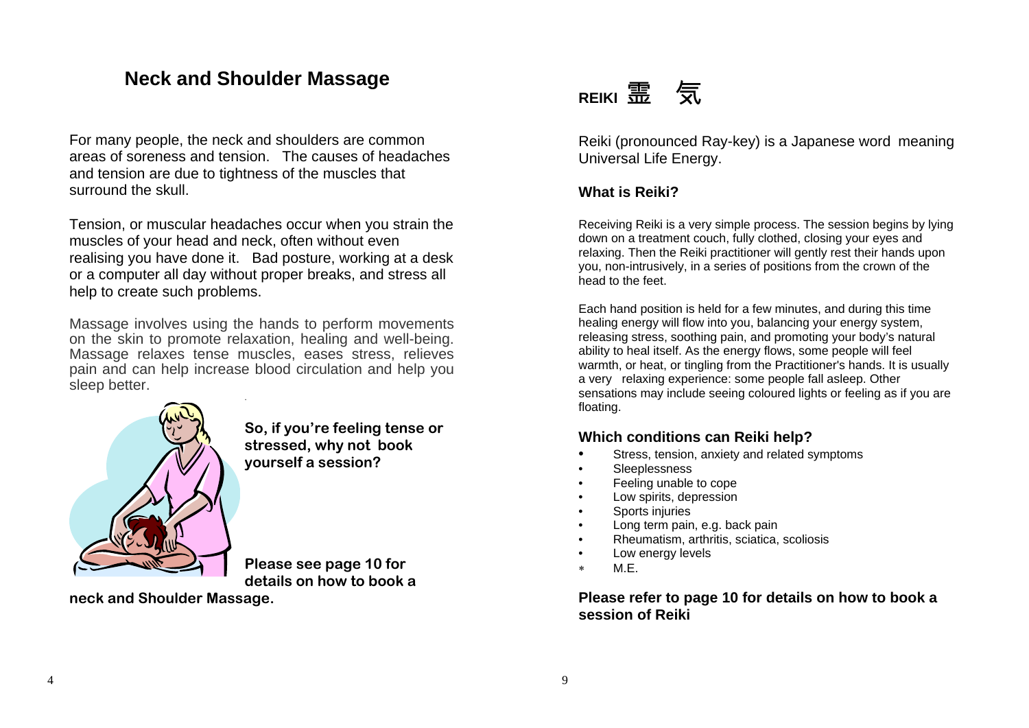### **Neck and Shoulder Massage**

For many people, the neck and shoulders are common areas of soreness and tension. The causes of headaches and tension are due to tightness of the muscles that surround the skull.

Tension, or muscular headaches occur when you strain the muscles of your head and neck, often without even realising you have done it. Bad posture, working at a desk or a computer all day without proper breaks, and stress all help to create such problems.

Massage involves using the hands to perform movements on the skin to promote relaxation, healing and well-being. Massage relaxes tense muscles, eases stress, relieves pain and can help increase blood circulation and help you sleep better.



**So, if you're feeling tense or stressed, why not book yourself a session?** 

**Please see page 10 for details on how to book a** 

**neck and Shoulder Massage.** 



Reiki (pronounced Ray-key) is a Japanese word meaning Universal Life Energy.

### **What is Reiki?**

Receiving Reiki is a very simple process. The session begins by lying down on a treatment couch, fully clothed, closing your eyes and relaxing. Then the Reiki practitioner will gently rest their hands upon you, non-intrusively, in a series of positions from the crown of the head to the feet.

Each hand position is held for a few minutes, and during this time healing energy will flow into you, balancing your energy system, releasing stress, soothing pain, and promoting your body's natural ability to heal itself. As the energy flows, some people will feel warmth, or heat, or tingling from the Practitioner's hands. It is usually a very relaxing experience: some people fall asleep. Other sensations may include seeing coloured lights or feeling as if you are floating.

### **Which conditions can Reiki help?**

- Stress, tension, anxiety and related symptoms
- Sleeplessness
- Feeling unable to cope
- Low spirits, depression
- Sports injuries
- Long term pain, e.g. back pain
- Rheumatism, arthritis, sciatica, scoliosis
- Low energy levels
- ∗ M.E.

**Please refer to page 10 for details on how to book a session of Reiki**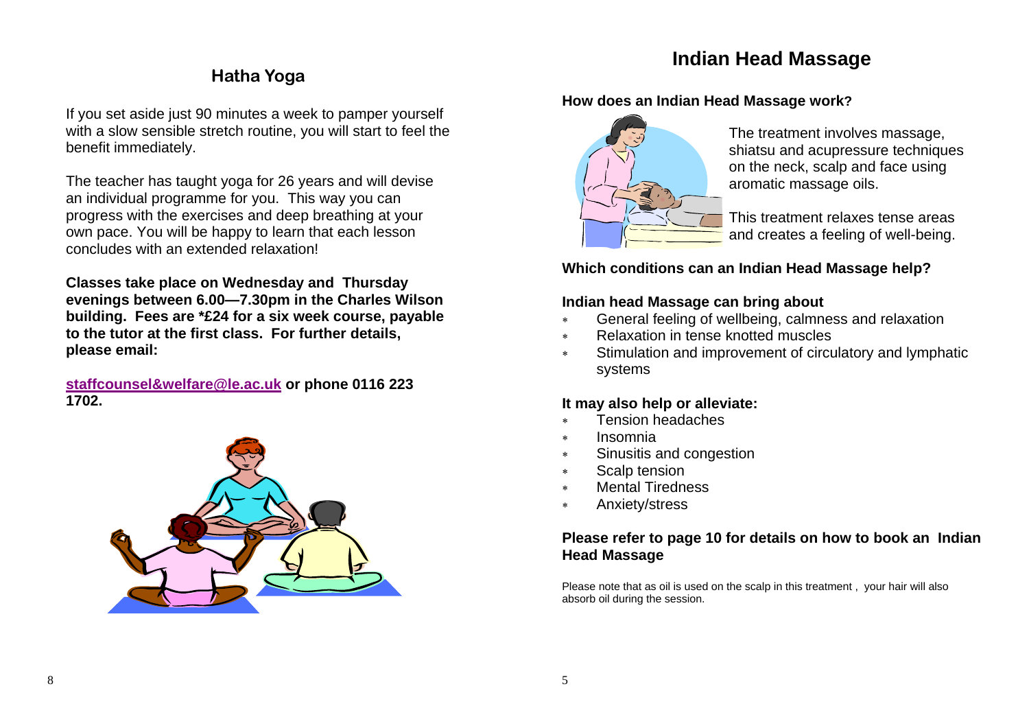### **Indian Head Massage**

### **Hatha Yoga**

If you set aside just 90 minutes a week to pamper yourself with a slow sensible stretch routine, you will start to feel the benefit immediately.

The teacher has taught yoga for 26 years and will devise an individual programme for you. This way you can progress with the exercises and deep breathing at your own pace. You will be happy to learn that each lesson concludes with an extended relaxation!

**Classes take place on Wednesday and Thursday evenings between 6.00—7.30pm in the Charles Wilson building. Fees are \*£24 for a six week course, payable to the tutor at the first class. For further details, please email:** 

**staffcounsel&welfare@le.ac.uk or phone 0116 223 1702.** 



### **How does an Indian Head Massage work?**



The treatment involves massage, shiatsu and acupressure techniques on the neck, scalp and face using aromatic massage oils.

This treatment relaxes tense areas and creates a feeling of well-being.

### **Which conditions can an Indian Head Massage help?**

### **Indian head Massage can bring about**

- <sup>∗</sup>General feeling of wellbeing, calmness and relaxation
- ∗ Relaxation in tense knotted muscles
- <sup>∗</sup>Stimulation and improvement of circulatory and lymphatic systems

### **It may also help or alleviate:**

- ∗ Tension headaches
- ∗ Insomnia
- <sup>∗</sup>Sinusitis and congestion
- <sup>∗</sup>Scalp tension
- ∗ Mental Tiredness
- <sup>∗</sup>Anxiety/stress

### **Please refer to page 10 for details on how to book an Indian Head Massage**

Please note that as oil is used on the scalp in this treatment , your hair will also absorb oil during the session.